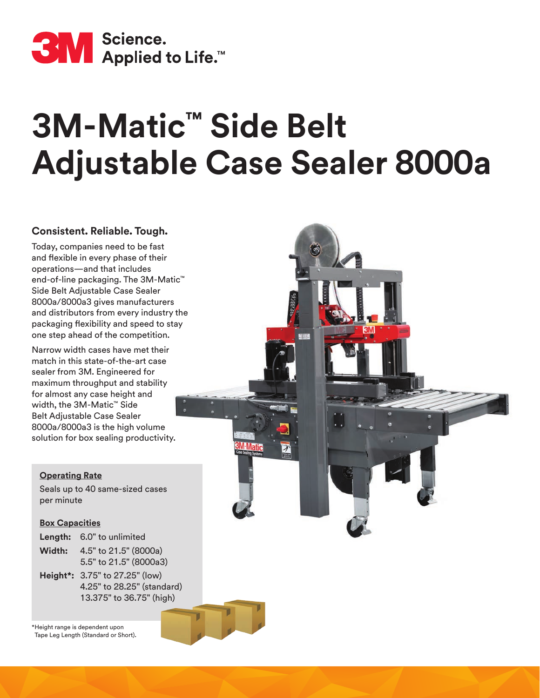

# **3M-Matic™ Side Belt Adjustable Case Sealer 8000a**

### **Consistent. Reliable. Tough.**

Today, companies need to be fast and flexible in every phase of their operations—and that includes end-of-line packaging. The 3M-Matic™ Side Belt Adjustable Case Sealer 8000a/8000a3 gives manufacturers and distributors from every industry the packaging flexibility and speed to stay one step ahead of the competition.

Narrow width cases have met their match in this state-of-the-art case sealer from 3M. Engineered for maximum throughput and stability for almost any case height and width, the 3M-Matic™ Side Belt Adjustable Case Sealer 8000a/8000a3 is the high volume solution for box sealing productivity.

### **Operating Rate**

Seals up to 40 same-sized cases per minute

### **Box Capacities**

|        | Length: 6.0" to unlimited |
|--------|---------------------------|
| Width: | 4.5" to 21.5" (8000a)     |

- 5.5" to 21.5" (8000a3)
- **Height\*:** 3.75" to 27.25" (low) 4.25" to 28.25" (standard) 13.375" to 36.75" (high)

\*Height range is dependent upon Tape Leg Length (Standard or Short).